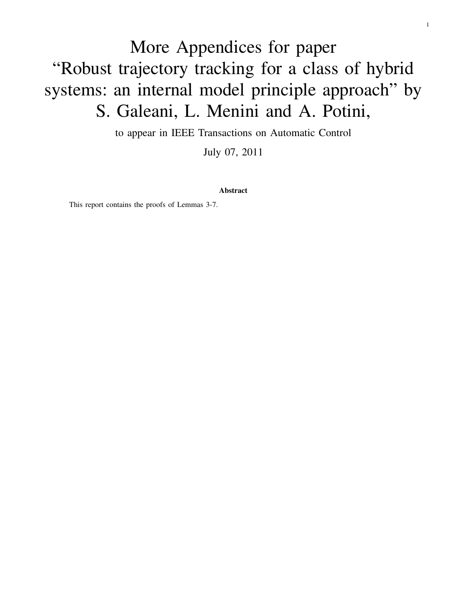# More Appendices for paper "Robust trajectory tracking for a class of hybrid systems: an internal model principle approach" by S. Galeani, L. Menini and A. Potini,

to appear in IEEE Transactions on Automatic Control

July 07, 2011

Abstract

This report contains the proofs of Lemmas 3-7.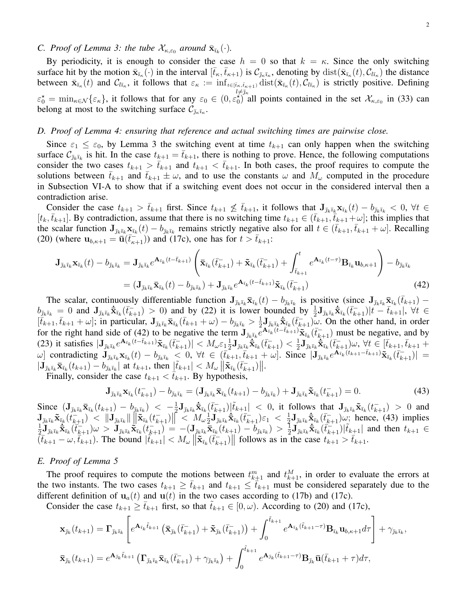## *C. Proof of Lemma 3: the tube*  $\mathcal{X}_{\kappa,\varepsilon_0}$  *around*  $\bar{\mathbf{x}}_{\bar{\imath}_k}(\cdot)$ *.*

By periodicity, it is enough to consider the case  $h = 0$  so that  $k = \kappa$ . Since the only switching surface hit by the motion  $\bar{\mathbf{x}}_{\bar{i}\kappa}(\cdot)$  in the interval  $[\bar{t}_{\kappa}, \bar{t}_{\kappa+1})$  is  $\mathcal{C}_{\bar{j}\kappa\bar{i}\kappa}$ , denoting by  $\text{dist}(\bar{\mathbf{x}}_{\bar{i}\kappa}(t), \mathcal{C}_{l\bar{i}\kappa})$  the distance between  $\bar{\mathbf{x}}_{\bar{i}\kappa}(t)$  and  $\mathcal{C}_{l\bar{i}\kappa}$ , it follows that  $\varepsilon_{\kappa} := \inf_{t \in [\bar{i}\kappa, \bar{i}\kappa+1)} \text{dist}(\bar{\mathbf{x}}_{\bar{i}\kappa}(t), \mathcal{C}_{l\bar{i}\kappa})$  is strictly positive. Defining  $\varepsilon_0^* = \min_{\kappa \in \mathcal{N}} {\varepsilon_{\kappa}}$ , it follows that for any  $\varepsilon_0 \in (0, \varepsilon_0^*)$  all points contained in the set  $\mathcal{X}_{\kappa, \varepsilon_0}$  in (33) can belong at most to the switching surface  $\mathcal{C}_{\bar{\jmath}_\kappa \bar{\imath}_\kappa}$ .

#### *D. Proof of Lemma 4: ensuring that reference and actual switching times are pairwise close.*

Since  $\varepsilon_1 \leq \varepsilon_0$ , by Lemma 3 the switching event at time  $t_{k+1}$  can only happen when the switching surface  $C_{\bar{\jmath}_k\bar{\imath}_k}$  is hit. In the case  $t_{k+1} = \bar{t}_{k+1}$ , there is nothing to prove. Hence, the following computations consider the two cases  $t_{k+1} > \bar{t}_{k+1}$  and  $t_{k+1} < \bar{t}_{k+1}$ . In both cases, the proof requires to compute the solutions between  $\bar{t}_{k+1}$  and  $\bar{t}_{k+1} \pm \omega$ , and to use the constants  $\omega$  and  $M_{\omega}$  computed in the procedure in Subsection VI-A to show that if a switching event does not occur in the considered interval then a contradiction arise.

Consider the case  $t_{k+1} > \bar{t}_{k+1}$  first. Since  $t_{k+1} \not\leq \bar{t}_{k+1}$ , it follows that  $\mathbf{J}_{\bar{j}_k\bar{i}_k} \mathbf{x}_{\bar{i}_k}(t) - b_{\bar{j}_k\bar{i}_k} < 0$ ,  $\forall t \in$  $[t_k, \bar{t}_{k+1}]$ . By contradiction, assume that there is no switching time  $t_{k+1} \in (\bar{t}_{k+1}, \bar{t}_{k+1}+\omega]$ ; this implies that the scalar function  $J_{\bar{j}_k\bar{i}_k}x_{\bar{i}_k}(t) - b_{\bar{j}_k\bar{i}_k}$  remains strictly negative also for all  $t \in (\bar{t}_{k+1}, \bar{t}_{k+1} + \omega]$ . Recalling (20) (where  $\mathbf{u}_{b,k+1} = \overline{\mathbf{u}}(\overline{t}_{k+1}^{-})$  and (17c), one has for  $t > \overline{t}_{k+1}$ :

$$
\mathbf{J}_{\bar{j}_k\bar{i}_k} \mathbf{x}_{\bar{i}_k}(t) - b_{\bar{j}_k\bar{i}_k} = \mathbf{J}_{\bar{j}_k\bar{i}_k} e^{\mathbf{A}_{\bar{i}_k}(t - \bar{t}_{k+1})} \left( \bar{\mathbf{x}}_{\bar{i}_k}(\bar{t}_{k+1}) + \bar{\mathbf{x}}_{\bar{i}_k}(\bar{t}_{k+1}) + \int_{\bar{t}_{k+1}}^t e^{\mathbf{A}_{\bar{i}_k}(t - \tau)} \mathbf{B}_{\bar{i}_k} \mathbf{u}_{b, \kappa+1} \right) - b_{\bar{j}_k\bar{i}_k}
$$
\n
$$
= (\mathbf{J}_{\bar{j}_k\bar{i}_k} \bar{\mathbf{x}}_{\bar{i}_k}(t) - b_{\bar{j}_k\bar{i}_k}) + \mathbf{J}_{\bar{j}_k\bar{i}_k} e^{\mathbf{A}_{\bar{i}_k}(t - \bar{t}_{k+1})} \tilde{\mathbf{x}}_{\bar{i}_k}(\bar{t}_{k+1})
$$
\n(42)

The scalar, continuously differentiable function  $J_{\bar{j}_k\bar{i}_k}\bar{x}_{\bar{i}_k}(t) - b_{\bar{j}_k\bar{i}_k}$  is positive (since  $J_{\bar{j}_k\bar{i}_k}\bar{x}_{\bar{i}_k}(\bar{t}_{k+1})$  $b_{\bar{j}_k\bar{i}_k} = 0$  and  $\mathbf{J}_{\bar{j}_k\bar{i}_k} \dot{\bar{\mathbf{x}}}_{\bar{i}_k}(\bar{t}_{k+1}) > 0$ ) and by (22) it is lower bounded by  $\frac{1}{2} \mathbf{J}_{\bar{j}_k\bar{i}_k} \dot{\bar{\mathbf{x}}}_{\bar{i}_k}(\bar{t}_{k+1}) |\tilde{t}-\bar{t}_{k+1}|, \forall t \in$  $[\overline{\tilde{t}}_{k+1}, \overline{t}_{k+1} + \omega]$ ; in particular,  $\mathbf{J}_{\overline{j}_k \overline{\imath}_k} \overline{\mathbf{x}}_{\overline{\imath}_k} (\overline{t}_{k+1} + \omega) - b_{\overline{j}_k \overline{\imath}_k} > \frac{1}{2}$  $\frac{1}{2} \mathbf{J}_{\bar{j}_k \bar{i}_k} \dot{\bar{\mathbf{x}}}_{\bar{i}_k} (\bar{t}_{k+1}) \omega$ . On the other hand, in order for the right hand side of (42) to be negative the term  $\mathbf{J}_{\bar{J}_k\bar{\imath}_k} e^{\mathbf{A}_{\bar{\imath}_k}(\tilde{t}-\bar{t}_{k+1})}\tilde{\mathbf{x}}_{\bar{\imath}_k}(\bar{t}_{k+1})$  must be negative, and by (23) it satisfies  $|\mathbf{J}_{\bar{\jmath}_k\bar{\imath}_k}e^{\mathbf{A}_{\bar{\imath}_k}(t-\bar{t}_{k+1})}\tilde{\mathbf{x}}_{\bar{\imath}_k}(\bar{t}_{k+1}^-)| < M_{\omega} \varepsilon_1 \frac{1}{2}$  $\frac{1}{2}\mathbf{J}_{\bar{\jmath}_k\bar{\imath}_k}\dot{\bar{\mathbf{x}}}_{\bar{\imath}_k}(\bar{t}_{k+1}^-)<\frac{1}{2}$  $\frac{1}{2} \mathbf{J}_{\bar\jmath_k \bar\imath_k} \dot{\bar{\mathbf{x}}}_{\bar\imath_k} (\bar t_{k+1}^-) \omega, \ \forall t \in [\bar t_{k+1}, \bar t_{k+1} +$ w contradicting  $\mathbf{J}_{\bar{j}_k\bar{i}_k} \mathbf{x}_{\bar{i}_k}(t) - b_{\bar{j}_k\bar{i}_k} \leq 0$ ,  $\forall t \in (\bar{t}_{k+1}, \bar{t}_{k+1} + \omega]$ . Since  $\|\mathbf{J}_{\bar{j}_k\bar{i}_k} e^{\mathbf{A}_{\bar{i}_k}(\bar{t}_{k+1} - \bar{t}_{k+1})} \tilde{\mathbf{x}}_{\bar{i}_k}(\bar{t}_{k+1})\| =$  $|\mathbf{J}_{\bar{j}_k\bar{i}_k}\bar{\mathbf{x}}_{\bar{i}_k}(t_{k+1}) - b_{\bar{j}_k\bar{i}_k}|$  at  $t_{k+1}$ , then  $|\tilde{t}_{k+1}| < M_\omega \|\tilde{\mathbf{x}}_{\bar{i}_k}(\bar{t}_{k+1})\|$ .

Finally, consider the case  $t_{k+1} < t_{k+1}$ . By hypothesis,

$$
\mathbf{J}_{\bar{\jmath}_k \bar{\imath}_k} \mathbf{x}_{\bar{\imath}_k} (t_{k+1}^-) - b_{\bar{\jmath}_k \bar{\imath}_k} = (\mathbf{J}_{\bar{\jmath}_k \bar{\imath}_k} \bar{\mathbf{x}}_{\bar{\imath}_k} (t_{k+1}) - b_{\bar{\jmath}_k \bar{\imath}_k}) + \mathbf{J}_{\bar{\jmath}_k \bar{\imath}_k} \tilde{\mathbf{x}}_{\bar{\imath}_k} (t_{k+1}^-) = 0.
$$
 (43)

Since  $(\mathbf{J}_{\bar{\jmath}_k\bar{\imath}_k}\bar{\mathbf{x}}_{\bar{\imath}_k}(t_{k+1}) - b_{\bar{\jmath}_k\bar{\imath}_k}) < -\frac{1}{2}$  $\frac{1}{2} \mathbf{J}_{\bar{j}_k \bar{i}_k} \dot{\bar{\mathbf{x}}}_{\bar{i}_k} (\bar{t}_{k+1}^-) |\tilde{t}_{k+1}| < 0$ , it follows that  $\mathbf{J}_{\bar{j}_k \bar{i}_k} \tilde{\mathbf{x}}_{\bar{i}_k} (t_{k+1}^-) > 0$  and  $\mathbf{J}_{\bar\jmath_k\bar\imath_k}\tilde{\mathbf{x}}_{\bar\imath_k}(t_{k+1}^-)<\|\mathbf{J}_{\bar\jmath_k\bar\imath_k}\|\big[\|\tilde{\mathbf{x}}_{\bar\imath_k}(t_{k+1}^-)\big\|^2< M_\omega\frac{1}{2}$  $\frac{1}{2} \overset{\_}{{\mathbf{J}}}_{\bar{\jmath}_k \bar{\imath}_k} \dot{\bar{\mathbf{x}}}_{\bar{\imath}_k} (\bar{t}_{k+1}^-) \varepsilon_1^{}~<~\frac{1}{2}$  $\frac{1}{2} \mathbf{J}_{\bar{j}_k \bar{i}_k} \dot{\bar{\mathbf{x}}}_{\bar{i}_k} (\bar{t}_{k+1}) \omega;$  hence, (43) implies 1  $\frac{1}{2}\mathbf{\tilde{J}}_{\bar{\jmath}_{k}\bar{\imath}_{k}}\dot{\bar{\mathbf{x}}}_{\bar{\imath}_{k}}(\bar{t}^{-}_{k+1})\omega\,>\,\mathbf{\tilde{J}}_{\bar{\jmath}_{k}\bar{\imath}_{k}}\dot{\bar{\mathbf{x}}}_{\bar{\imath}_{k}}(t^{-}_{k+1}) = -(\mathbf{J}_{\bar{\jmath}_{k}\bar{\imath}_{k}}\bar{\mathbf{x}}_{\bar{\imath}_{k}}(t_{k+1})\,-\,b_{\bar{\jmath}_{k}\bar{\imath}_{k}}) \,>\,\frac{1}{2}$  $\frac{1}{2} \mathbf{J}_{\bar{j}_k \bar{i}_k} \dot{\bar{\mathbf{x}}}_{\bar{i}_k} (\dot{\bar{t}}_{k+1}^{-}) |\tilde{t}_{k+1}|$  and then  $t_{k+1} \in$  $(\bar{t}_{k+1} - \omega, \bar{t}_{k+1})$ . The bound  $|\tilde{t}_{k+1}| < M_{\omega} ||\tilde{\mathbf{x}}_{\bar{i}_k}(\bar{t}_{k+1})||$  follows as in the case  $t_{k+1} > \bar{t}_{k+1}$ .

#### *E. Proof of Lemma 5*

The proof requires to compute the motions between  $t_{k+1}^m$  and  $t_{k+1}^M$ , in order to evaluate the errors at the two instants. The two cases  $t_{k+1} \ge \bar{t}_{k+1}$  and  $t_{k+1} \le \bar{t}_{k+1}$  must be considered separately due to the different definition of  $u_a(t)$  and  $u(t)$  in the two cases according to (17b) and (17c).

Consider the case  $t_{k+1} \geq t_{k+1}$  first, so that  $t_{k+1} \in [0, \omega)$ . According to (20) and (17c),

$$
\mathbf{x}_{\bar{\jmath}_k}(t_{k+1}) = \mathbf{\Gamma}_{\bar{\jmath}_k \bar{\imath}_k} \left[ e^{\mathbf{A}_{\bar{\imath}_k} \tilde{t}_{k+1}} \left( \bar{\mathbf{x}}_{\bar{\jmath}_k}(\bar{t}_{k+1}) + \tilde{\mathbf{x}}_{\bar{\jmath}_k}(\bar{t}_{k+1}) \right) + \int_0^{\tilde{t}_{k+1}} e^{\mathbf{A}_{\bar{\imath}_k}(\tilde{t}_{k+1} - \tau)} \mathbf{B}_{\bar{\imath}_k} \mathbf{u}_{b,\kappa+1} d\tau \right] + \gamma_{\bar{\jmath}_k \bar{\imath}_k},
$$
  

$$
\bar{\mathbf{x}}_{\bar{\jmath}_k}(t_{k+1}) = e^{\mathbf{A}_{\bar{\jmath}_k} \tilde{t}_{k+1}} \left( \mathbf{\Gamma}_{\bar{\jmath}_k \bar{\imath}_k} \bar{\mathbf{x}}_{\bar{\imath}_k}(\bar{t}_{k+1}) + \gamma_{\bar{\jmath}_k \bar{\imath}_k} \right) + \int_0^{\tilde{t}_{k+1}} e^{\mathbf{A}_{\bar{\jmath}_k}(\tilde{t}_{k+1} - \tau)} \mathbf{B}_{\bar{\jmath}_k} \bar{\mathbf{u}}(\bar{t}_{k+1} + \tau) d\tau,
$$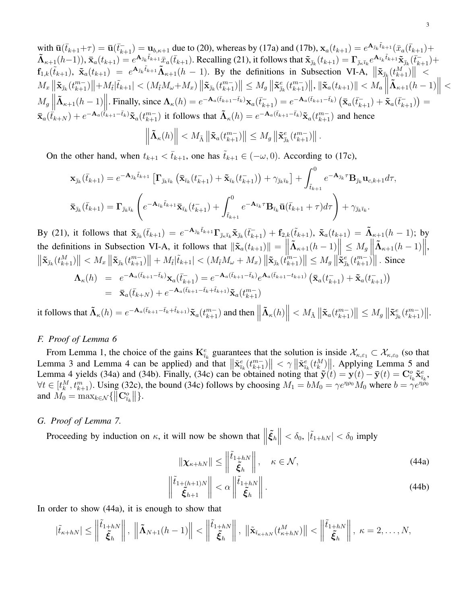with  $\bar{\mathbf{u}}(\bar{t}_{k+1}+\tau) = \bar{\mathbf{u}}(\bar{t}_{k+1}) = \mathbf{u}_{b,k+1}$  due to (20), whereas by (17a) and (17b),  $\mathbf{x}_a(t_{k+1}) = e^{\mathbf{A}_{\bar{J}_k}\tilde{t}_{k+1}}(\bar{x}_a(\bar{t}_{k+1}) +$  $\tilde{\mathbf{\Lambda}}_{\kappa+1}(h-1), \bar{\mathbf{x}}_a(t_{k+1}) = e^{\mathbf{A}_{\bar{\jmath}_k}\tilde{t}_{k+1}}\bar{x}_a(\bar{t}_{k+1}).$  Recalling (21), it follows that  $\tilde{\mathbf{x}}_{\bar{\jmath}_k}(t_{k+1}) = \mathbf{\Gamma}_{\bar{\jmath}_k\bar{\imath}_k}e^{\mathbf{A}_{\bar{\imath}_k}\tilde{t}_{k+1}}\tilde{\mathbf{x}}_{\bar{\jmath}_k}(\bar{t}_{k+1}) +$  $f_{1,k}(\tilde{t}_{k+1}), \ \tilde{\mathbf{x}}_a(t_{k+1}) = e^{\mathbf{A}_{\bar{\jmath}_k}\tilde{t}_{k+1}}\tilde{\mathbf{\Lambda}}_{\kappa+1}(h-1)$ . By the definitions in Subsection VI-A,  $\|\tilde{\mathbf{x}}_{\bar{\jmath}_k}(t_{k+1}^M)\|$  $\begin{split} M_x\left\|\tilde{{\bf x}}_{\bar\jmath_k}(t^{m-}_{k+1})\right\|+M_{\tilde t}|\tilde t_{k+1}|<\left(M_{\tilde t}M_\omega+M_x\right)\left\|\tilde{{\bf x}}_{\bar\jmath_k}(t^{m-}_{k+1})\right\|\leq M_g\left\|\tilde{{\bf x}}_{\bar\jmath_k}(t^{m-}_{k+1})\right\|,\left\|\tilde{{\bf x}}_{a}(t_{k+1})\right\|$  $\parallel$  $\lt$  $M_g$  $\tilde{\mathbf{\Lambda}}_{\kappa+1}(h-1)$ . Finally, since  $\mathbf{\Lambda}_{\kappa}(h) = e^{-\mathbf{A}_a(\bar{t}_{k+1}-\bar{t}_k)} \mathbf{x}_a(\bar{t}_{k+1}^-) = e^{-\mathbf{A}_a(\bar{t}_{k+1}-\bar{t}_k)} (\bar{\mathbf{x}}_a(\bar{t}_{k+1}^-) + \bar{\mathbf{x}}_a(\bar{t}_{k+1}^-)) =$  $\bar{\mathbf{x}}_a(\dot{\bar{t}}_{k+N}) + e^{-\mathbf{A}_a(\dot{\bar{t}}_{k+1}-\bar{t}_k)}\tilde{\mathbf{x}}_a(t_{k+1}^{m-})$  it follows that  $\tilde{\mathbf{\Lambda}}_{\kappa}(h) = e^{-\mathbf{A}_a(\bar{t}_{k+1}-\bar{t}_k)}\tilde{\mathbf{x}}_a(t_{k+1}^{m-})$  and hence

$$
\left\|\tilde{\mathbf{\Lambda}}_{\kappa}(h)\right\| < M_{\tilde{\Lambda}}\left\|\tilde{\mathbf{x}}_a(t^{m-}_{k+1})\right\| \leq M_g\left\|\tilde{\mathbf{x}}_{\bar{\jmath}_k}^e(t^{m-}_{k+1})\right\|.
$$

On the other hand, when  $t_{k+1} < \bar{t}_{k+1}$ , one has  $\tilde{t}_{k+1} \in (-\omega, 0)$ . According to (17c),

$$
\mathbf{x}_{\bar{\jmath}_k}(\bar{t}_{k+1}) = e^{-\mathbf{A}_{\bar{\jmath}_k}\tilde{t}_{k+1}} \left[ \mathbf{\Gamma}_{\bar{\jmath}_k\bar{\imath}_k} \left( \bar{\mathbf{x}}_{\bar{\imath}_k} (t_{k+1}^-) + \tilde{\mathbf{x}}_{\bar{\imath}_k} (t_{k+1}^-) \right) + \gamma_{\bar{\jmath}_k\bar{\imath}_k} \right] + \int_{\tilde{t}_{k+1}}^0 e^{-\mathbf{A}_{\bar{\jmath}_k}\tau} \mathbf{B}_{\bar{\jmath}_k} \mathbf{u}_{c,k+1} d\tau,
$$
  

$$
\bar{\mathbf{x}}_{\bar{\jmath}_k}(\bar{t}_{k+1}) = \mathbf{\Gamma}_{\bar{\jmath}_k\bar{\imath}_k} \left( e^{-\mathbf{A}_{\bar{\imath}_k}\tilde{t}_{k+1}} \bar{\mathbf{x}}_{\bar{\imath}_k} (t_{k+1}^-) + \int_{\tilde{t}_{k+1}}^0 e^{-\mathbf{A}_{\bar{\imath}_k}\tau} \mathbf{B}_{\bar{\imath}_k} \bar{\mathbf{u}} (\bar{t}_{k+1} + \tau) d\tau \right) + \gamma_{\bar{\jmath}_k\bar{\imath}_k}.
$$

By (21), it follows that  $\tilde{\mathbf{x}}_{\bar{j}_k}(\bar{t}_{k+1}) = e^{-\mathbf{A}_{\bar{j}_k}\tilde{t}_{k+1}} \mathbf{\Gamma}_{\bar{j}_k\bar{i}_k} \tilde{\mathbf{x}}_{\bar{j}_k}(\bar{t}_{k+1}) + \mathbf{f}_{2,k}(\tilde{t}_{k+1}), \ \tilde{\mathbf{x}}_a(t_{k+1}) = \tilde{\mathbf{\Lambda}}_{\kappa+1}(h-1);$  by the definitions in Subsection VI-A, it follows that  $\|\tilde{\mathbf{x}}_a(t_{k+1})\| = \begin{bmatrix} k & k \\ k & k+1 \end{bmatrix}$  $\left\| \tilde{\mathbf{\Lambda}}_{\kappa+1}(h-1) \right\| \leq M_g \left\| \mathbf{\Sigma}_{\kappa}^{\kappa}(h-1) \right\|$ the definitions in Subsection VI-A, it follows that  $\|\tilde{\mathbf{x}}_a(t_{k+1})\| = \left\|\tilde{\mathbf{\Lambda}}_{\kappa+1}(h-1)\right\| \le M_g \left\|\tilde{\mathbf{\Lambda}}_{\kappa+1}(h-1)\right\|$ ,<br> $\|\tilde{\mathbf{x}}_{\bar{j}_k}(t_{k+1}^M)\| < M_x \left\|\tilde{\mathbf{x}}_{\bar{j}_k}(t_{k+1}^m)\right\| + M_{\tilde{t}}|\tilde{t}_{k+1}| < (M_{\tilde{t}}$ 

$$
\Lambda_{\kappa}(h) = e^{-\mathbf{A}_{a}(\bar{t}_{k+1}-\bar{t}_{k})}\mathbf{x}_{a}(\bar{t}_{k+1}^{-}) = e^{-\mathbf{A}_{a}(\bar{t}_{k+1}-\bar{t}_{k})}e^{\mathbf{A}_{a}(\bar{t}_{k+1}-t_{k+1})}\left(\bar{\mathbf{x}}_{a}(t_{k+1}^{-})+\tilde{\mathbf{x}}_{a}(t_{k+1}^{-})\right)
$$
\n
$$
= \bar{\mathbf{x}}_{a}(\bar{t}_{k+N}) + e^{-\mathbf{A}_{a}(\bar{t}_{k+1}-\bar{t}_{k}+\tilde{t}_{k+1})}\tilde{\mathbf{x}}_{a}(t_{k+1}^{m})
$$

it follows that  $\tilde{\mathbf{\Lambda}}_{\kappa}(h) = e^{-\mathbf{A}_a(\bar{t}_{k+1}-\bar{t}_k+\tilde{t}_{k+1})}\tilde{\mathbf{x}}_a(t^{m-}_{k+1})$  and then  $\|\$  $\left\| \tilde{\mathbf{A}}_{\kappa}(h) \right\| < M_{\tilde{\Lambda}} \left\| \tilde{\mathbf{x}}_{a}(t_{k+1}^{m-}) \right\| \leq M_{g} \left\| \tilde{\mathbf{x}}_{\tilde{\jmath}_{k}}^{e}(t_{k+1}^{m-}) \right\|.$ 

### *F. Proof of Lemma 6*

From Lemma 1, the choice of the gains  $\mathbf{K}_{\bar{i}_k}^e$  guarantees that the solution is inside  $\mathcal{X}_{\kappa,\varepsilon_1} \subset \mathcal{X}_{\kappa,\varepsilon_0}$  (so that Lemma 3 and Lemma 4 can be applied) and that  $\|\tilde{\mathbf{x}}_{\bar{i}_k}^e(t_{k+1}^{m-})\| < \gamma \|\tilde{\mathbf{x}}_{\bar{i}_k}^e(t_k^M)\|$ . Applying Lemma 5 and Lemma 4 yields (34a) and (34b). Finally, (34c) can be obtained noting that  $\tilde{\mathbf{y}}(t) = \mathbf{y}(t) - \bar{\mathbf{y}}(t) = \mathbf{C}_{\bar{i}_k}^o \tilde{\mathbf{x}}_{\bar{i}_k}^e$ ,  $\forall t \in [t_k^M, t_{k+1}^m)$ . Using (32c), the bound (34c) follows by choosing  $M_1 = bM_0 = \gamma e^{\eta \rho_0} M_0$  where  $b = \gamma e^{\eta \rho_0}$ and  $M_0 = \max_{k \in \mathcal{N}} \{ ||\mathbf{C}_{\bar{i}_k}^o|| \}.$ 

#### *G. Proof of Lemma 7.*

Proceeding by induction on  $\kappa$ , it will now be shown that  $\left\|\tilde{\xi}_h\right\|$  $< \delta_0$ ,  $|\tilde{t}_{1+hN}| < \delta_0$  imply

$$
\|\boldsymbol{\chi}_{\kappa+hN}\| \le \left\|\frac{\tilde{t}_{1+hN}}{\tilde{\xi}_h}\right\|, \quad \kappa \in \mathcal{N},\tag{44a}
$$

$$
\left\| \frac{\tilde{t}_{1+(h+1)N}}{\tilde{\xi}_{h+1}} \right\| < \alpha \left\| \frac{\tilde{t}_{1+hN}}{\tilde{\xi}_h} \right\| \tag{44b}
$$

In order to show (44a), it is enough to show that

$$
|\tilde{t}_{\kappa+hN}| \leq \left\|\frac{\tilde{t}_{1+hN}}{\tilde{\xi}_h}\right\|, \ \left\|\tilde{\mathbf{\Lambda}}_{N+1}(h-1)\right\| < \left\|\frac{\tilde{t}_{1+hN}}{\tilde{\xi}_h}\right\|, \ \left\|\tilde{\mathbf{x}}_{\bar{\iota}_{\kappa+hN}}(t_{\kappa+hN}^M)\right\| < \left\|\frac{\tilde{t}_{1+hN}}{\tilde{\xi}_h}\right\|, \ \kappa = 2, \ldots, N,
$$